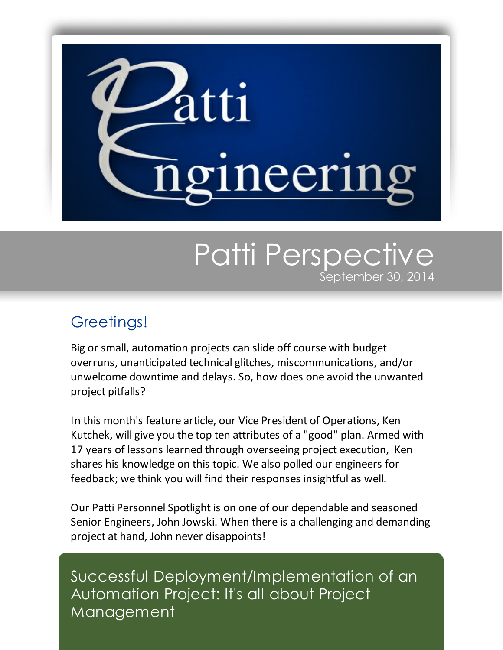

## Patti Perspective September 30, 2014

## Greetings!

Big or small, automation projects can slide off course with budget overruns, unanticipated technical glitches, miscommunications, and/or unwelcome downtime and delays. So, how does one avoid the unwanted project pitfalls?

In this month's feature article, our Vice President of Operations, Ken Kutchek, will give you the top ten attributes of a "good" plan. Armed with 17 years of lessons learned through overseeing project execution, Ken shares his knowledge on this topic. We also polled our engineers for feedback; we think you will find their responses insightful as well.

Our Patti Personnel Spotlight is on one of our dependable and seasoned Senior Engineers, John Jowski. When there is a challenging and demanding project at hand, John never disappoints!

Successful Deployment/Implementation of an Automation Project: It's all about Project Management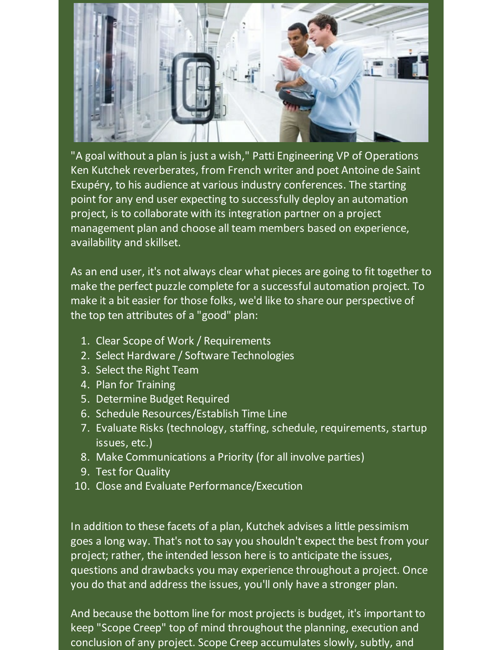

"A goal without a plan is just a wish," Patti Engineering VP of Operations Ken Kutchek reverberates, from French writer and poet Antoine de Saint Exupéry, to his audience at various industry conferences. The starting point for any end user expecting to successfully deploy an automation project, is to collaborate with its integration partner on a project management plan and choose all team members based on experience, availability and skillset.

As an end user, it's not always clear what pieces are going to fit together to make the perfect puzzle complete for a successful automation project. To make it a bit easier for those folks, we'd like to share our perspective of the top ten attributes of a "good" plan:

- 1. Clear Scope of Work / Requirements
- 2. Select Hardware / Software Technologies
- 3. Select the Right Team
- 4. Plan for Training
- 5. Determine Budget Required
- 6. Schedule Resources/Establish Time Line
- 7. Evaluate Risks (technology, staffing, schedule, requirements, startup issues, etc.)
- 8. Make Communications a Priority (for all involve parties)
- 9. Test for Quality
- 10. Close and Evaluate Performance/Execution

In addition to these facets of a plan, Kutchek advises a little pessimism goes a long way. That's not to say you shouldn't expect the best from your project; rather, the intended lesson here is to anticipate the issues, questions and drawbacks you may experience throughout a project. Once you do that and address the issues, you'll only have a stronger plan.

And because the bottom line for most projects is budget, it's important to keep "Scope Creep" top of mind throughout the planning, execution and conclusion of any project. Scope Creep accumulates slowly, subtly, and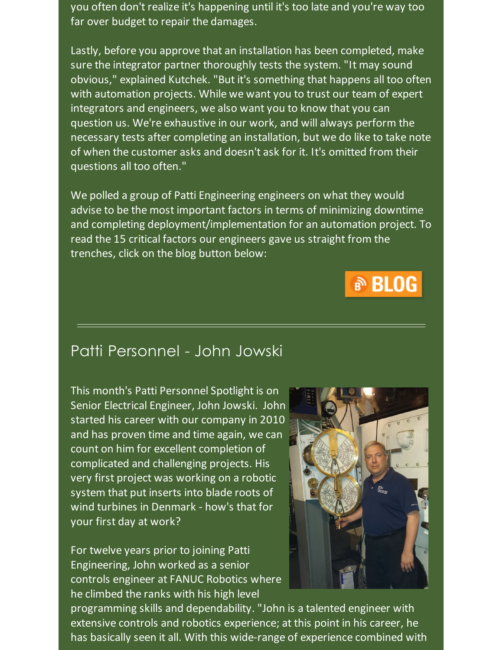you often don't realize it's happening until it's too late and you're way too far over budget to repair the damages.

Lastly, before you approve that an installation has been completed, make sure the integrator partner thoroughly tests the system. "It may sound obvious," explained Kutchek. "But it's something that happens all too often with automation projects. While we want you to trust our team of expert integrators and engineers, we also want you to know that you can question us. We're exhaustive in our work, and will always perform the necessary tests after completing an installation, but we do like to take note of when the customer asks and doesn't ask for it. It's omitted from their questions all too often."

We polled a group of Patti Engineering engineers on what they would advise to be the most important factors in terms of minimizing downtime and completing deployment/implementation for an automation project. To read the 15 critical factors our engineers gave us straight from the trenches, click on the blog button below:



## Patti Personnel - John Jowski

This month's Patti Personnel Spotlight is on Senior Electrical Engineer, John Jowski. John started his career with our company in 2010 and has proven time and time again, we can count on him for excellent completion of complicated and challenging projects. His very first project was working on a robotic system that put inserts into blade roots of wind turbines in Denmark - how's that for your first day at work?

For twelve years prior to joining Patti Engineering, John worked as a senior controls engineer at FANUC Robotics where he climbed the ranks with his high level



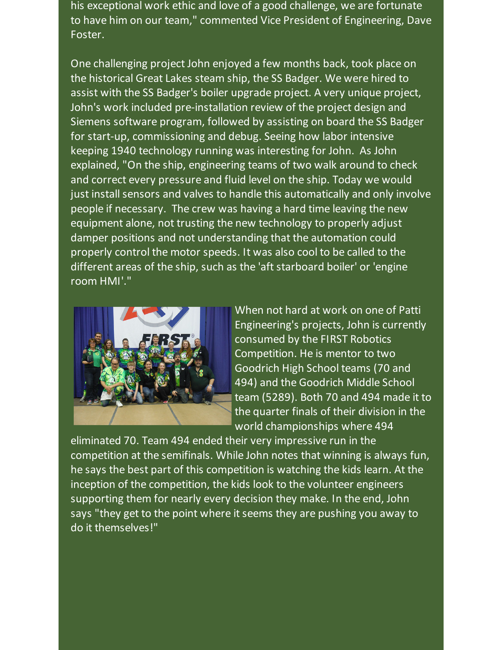his exceptional work ethic and love of a good challenge, we are fortunate to have him on our team," commented Vice President of Engineering, Dave Foster.

One challenging project John enjoyed a few months back, took place on the historical Great Lakes steam ship, the SS Badger. We were hired to assist with the SS Badger's boiler upgrade project. A very unique project, John's work included pre-installation review of the project design and Siemens software program, followed by assisting on board the SS Badger for start-up, commissioning and debug. Seeing how labor intensive keeping 1940 technology running was interesting for John. As John explained, "On the ship, engineering teams of two walk around to check and correct every pressure and fluid level on the ship. Today we would just install sensors and valves to handle this automatically and only involve people if necessary. The crew was having a hard time leaving the new equipment alone, not trusting the new technology to properly adjust damper positions and not understanding that the automation could properly control the motor speeds. It was also cool to be called to the different areas of the ship, such as the 'aft starboard boiler' or 'engine room HMI'."



When not hard at work on one of Patti Engineering's projects, John is currently consumed by the FIRST Robotics Competition. He is mentor to two Goodrich High School teams (70 and 494) and the Goodrich Middle School team (5289). Both 70 and 494 made it to the quarter finals of their division in the world championships where 494

eliminated 70. Team 494 ended their very impressive run in the competition at the semifinals. While John notes that winning is always fun, he says the best part of this competition is watching the kids learn. At the inception of the competition, the kids look to the volunteer engineers supporting them for nearly every decision they make. In the end, John says "they get to the point where it seems they are pushing you away to do it themselves!"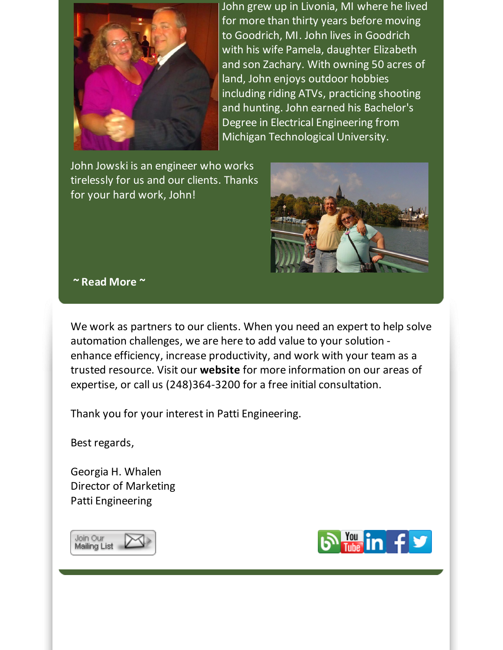

John grew up in Livonia, MI where he lived for more than thirty years before moving to Goodrich, MI. John lives in Goodrich with his wife Pamela, daughter Elizabeth and son Zachary. With owning 50 acres of land, John enjoys outdoor hobbies including riding ATVs, practicing shooting and hunting. John earned his Bachelor's Degree in Electrical Engineering from Michigan Technological University.

John Jowski is an engineer who works tirelessly for us and our clients. Thanks for your hard work, John!



## **~ Read [More](https://origin.library.constantcontact.com/doc205/1101449641109/doc/fYtZZIn4UIbmvTjW.pdf) ~**

We work as partners to our clients. When you need an expert to help solve automation challenges, we are here to add value to your solution enhance efficiency, increase productivity, and work with your team as a trusted resource. Visit our **[website](http://www.pattieng.com/expertise.html?utm_source=Patti+Perspective_September_2014&utm_campaign=Newsletter+Sept+2014&utm_medium=email)** for more information on our areas of expertise, or call us (248)364-3200 for a free initial consultation.

Thank you for your interest in Patti Engineering.

Best regards,

Georgia H. Whalen Director of Marketing Patti Engineering